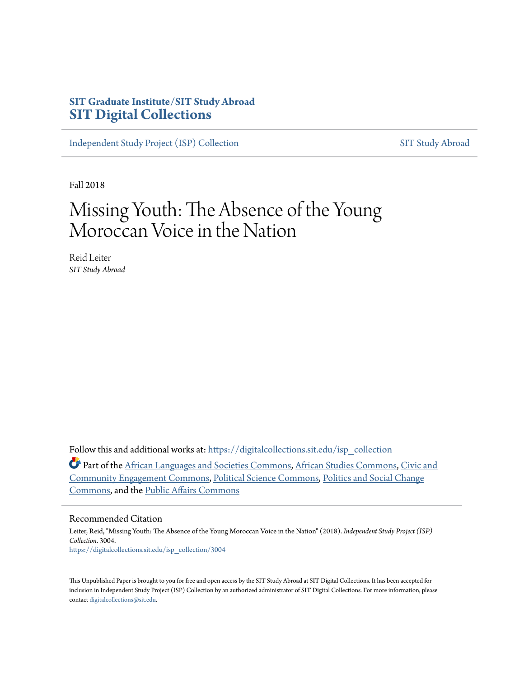# **SIT Graduate Institute/SIT Study Abroad [SIT Digital Collections](https://digitalcollections.sit.edu?utm_source=digitalcollections.sit.edu%2Fisp_collection%2F3004&utm_medium=PDF&utm_campaign=PDFCoverPages)**

[Independent Study Project \(ISP\) Collection](https://digitalcollections.sit.edu/isp_collection?utm_source=digitalcollections.sit.edu%2Fisp_collection%2F3004&utm_medium=PDF&utm_campaign=PDFCoverPages) [SIT Study Abroad](https://digitalcollections.sit.edu/study_abroad?utm_source=digitalcollections.sit.edu%2Fisp_collection%2F3004&utm_medium=PDF&utm_campaign=PDFCoverPages)

Fall 2018

# Missing Youth: The Absence of the Young Moroccan Voice in the Nation

Reid Leiter *SIT Study Abroad*

Follow this and additional works at: [https://digitalcollections.sit.edu/isp\\_collection](https://digitalcollections.sit.edu/isp_collection?utm_source=digitalcollections.sit.edu%2Fisp_collection%2F3004&utm_medium=PDF&utm_campaign=PDFCoverPages)

Part of the [African Languages and Societies Commons](http://network.bepress.com/hgg/discipline/476?utm_source=digitalcollections.sit.edu%2Fisp_collection%2F3004&utm_medium=PDF&utm_campaign=PDFCoverPages), [African Studies Commons,](http://network.bepress.com/hgg/discipline/1043?utm_source=digitalcollections.sit.edu%2Fisp_collection%2F3004&utm_medium=PDF&utm_campaign=PDFCoverPages) [Civic and](http://network.bepress.com/hgg/discipline/1028?utm_source=digitalcollections.sit.edu%2Fisp_collection%2F3004&utm_medium=PDF&utm_campaign=PDFCoverPages) [Community Engagement Commons,](http://network.bepress.com/hgg/discipline/1028?utm_source=digitalcollections.sit.edu%2Fisp_collection%2F3004&utm_medium=PDF&utm_campaign=PDFCoverPages) [Political Science Commons,](http://network.bepress.com/hgg/discipline/386?utm_source=digitalcollections.sit.edu%2Fisp_collection%2F3004&utm_medium=PDF&utm_campaign=PDFCoverPages) [Politics and Social Change](http://network.bepress.com/hgg/discipline/425?utm_source=digitalcollections.sit.edu%2Fisp_collection%2F3004&utm_medium=PDF&utm_campaign=PDFCoverPages) [Commons,](http://network.bepress.com/hgg/discipline/425?utm_source=digitalcollections.sit.edu%2Fisp_collection%2F3004&utm_medium=PDF&utm_campaign=PDFCoverPages) and the [Public Affairs Commons](http://network.bepress.com/hgg/discipline/399?utm_source=digitalcollections.sit.edu%2Fisp_collection%2F3004&utm_medium=PDF&utm_campaign=PDFCoverPages)

#### Recommended Citation

Leiter, Reid, "Missing Youth: The Absence of the Young Moroccan Voice in the Nation" (2018). *Independent Study Project (ISP) Collection*. 3004. [https://digitalcollections.sit.edu/isp\\_collection/3004](https://digitalcollections.sit.edu/isp_collection/3004?utm_source=digitalcollections.sit.edu%2Fisp_collection%2F3004&utm_medium=PDF&utm_campaign=PDFCoverPages)

This Unpublished Paper is brought to you for free and open access by the SIT Study Abroad at SIT Digital Collections. It has been accepted for inclusion in Independent Study Project (ISP) Collection by an authorized administrator of SIT Digital Collections. For more information, please contact [digitalcollections@sit.edu](mailto:digitalcollections@sit.edu).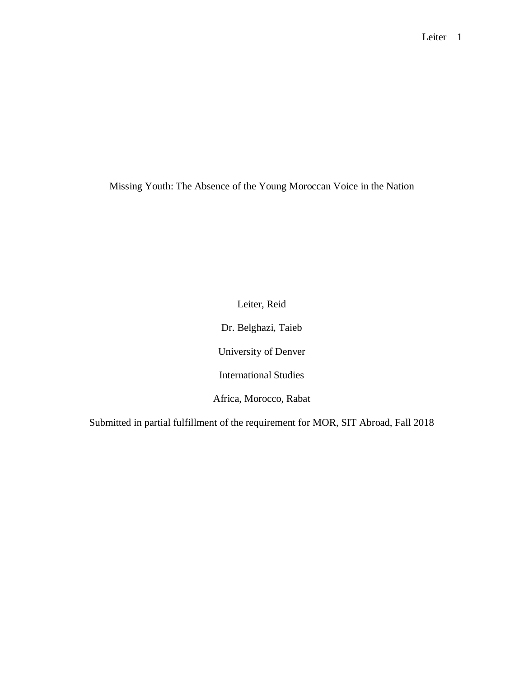Missing Youth: The Absence of the Young Moroccan Voice in the Nation

Leiter, Reid

Dr. Belghazi, Taieb

University of Denver

International Studies

Africa, Morocco, Rabat

Submitted in partial fulfillment of the requirement for MOR, SIT Abroad, Fall 2018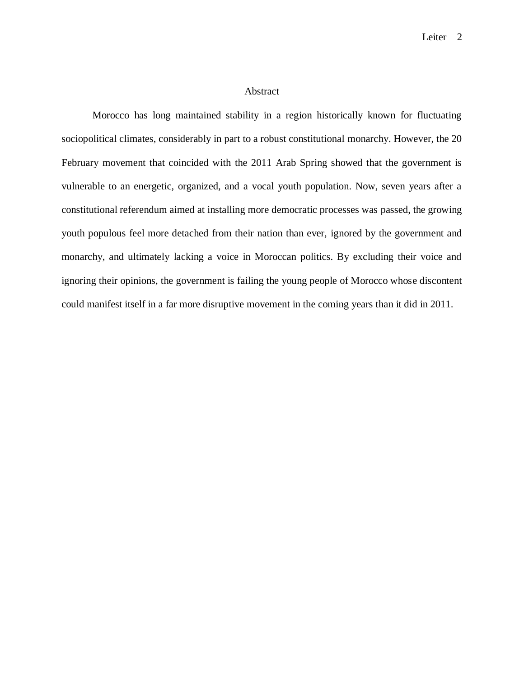#### Abstract

Morocco has long maintained stability in a region historically known for fluctuating sociopolitical climates, considerably in part to a robust constitutional monarchy. However, the 20 February movement that coincided with the 2011 Arab Spring showed that the government is vulnerable to an energetic, organized, and a vocal youth population. Now, seven years after a constitutional referendum aimed at installing more democratic processes was passed, the growing youth populous feel more detached from their nation than ever, ignored by the government and monarchy, and ultimately lacking a voice in Moroccan politics. By excluding their voice and ignoring their opinions, the government is failing the young people of Morocco whose discontent could manifest itself in a far more disruptive movement in the coming years than it did in 2011.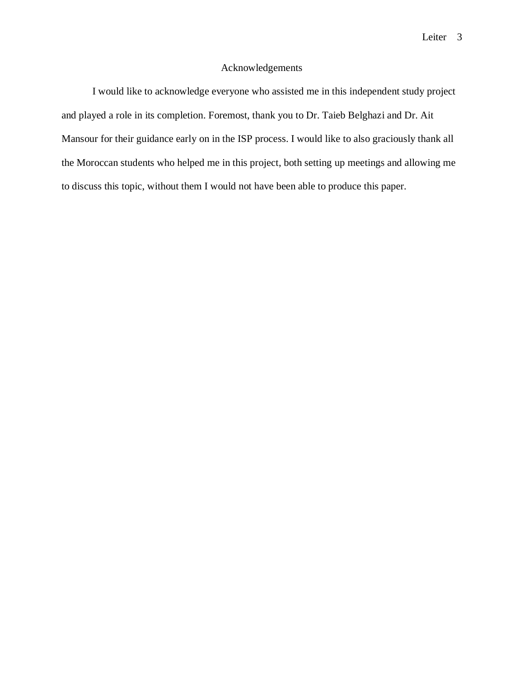# Acknowledgements

I would like to acknowledge everyone who assisted me in this independent study project and played a role in its completion. Foremost, thank you to Dr. Taieb Belghazi and Dr. Ait Mansour for their guidance early on in the ISP process. I would like to also graciously thank all the Moroccan students who helped me in this project, both setting up meetings and allowing me to discuss this topic, without them I would not have been able to produce this paper.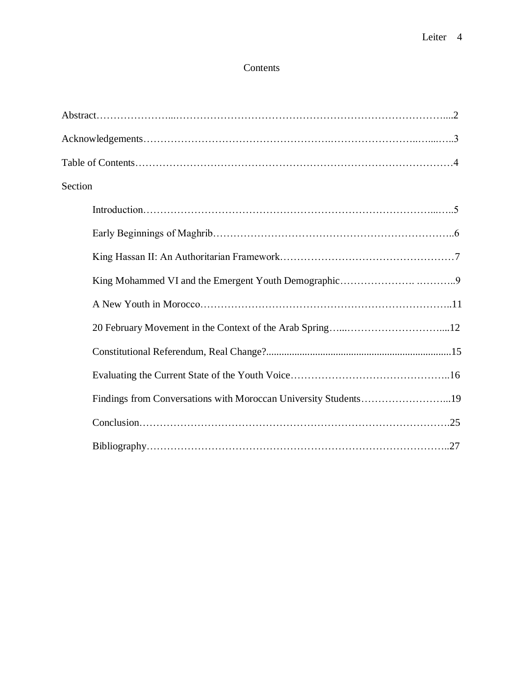# Contents

| Section                                                         |  |
|-----------------------------------------------------------------|--|
|                                                                 |  |
|                                                                 |  |
|                                                                 |  |
|                                                                 |  |
|                                                                 |  |
|                                                                 |  |
|                                                                 |  |
|                                                                 |  |
| Findings from Conversations with Moroccan University Students19 |  |
|                                                                 |  |
|                                                                 |  |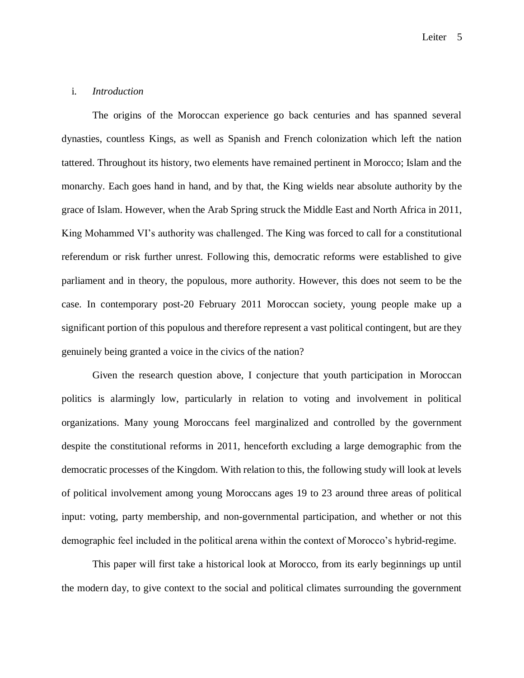## i. *Introduction*

The origins of the Moroccan experience go back centuries and has spanned several dynasties, countless Kings, as well as Spanish and French colonization which left the nation tattered. Throughout its history, two elements have remained pertinent in Morocco; Islam and the monarchy. Each goes hand in hand, and by that, the King wields near absolute authority by the grace of Islam. However, when the Arab Spring struck the Middle East and North Africa in 2011, King Mohammed VI's authority was challenged. The King was forced to call for a constitutional referendum or risk further unrest. Following this, democratic reforms were established to give parliament and in theory, the populous, more authority. However, this does not seem to be the case. In contemporary post-20 February 2011 Moroccan society, young people make up a significant portion of this populous and therefore represent a vast political contingent, but are they genuinely being granted a voice in the civics of the nation?

Given the research question above, I conjecture that youth participation in Moroccan politics is alarmingly low, particularly in relation to voting and involvement in political organizations. Many young Moroccans feel marginalized and controlled by the government despite the constitutional reforms in 2011, henceforth excluding a large demographic from the democratic processes of the Kingdom. With relation to this, the following study will look at levels of political involvement among young Moroccans ages 19 to 23 around three areas of political input: voting, party membership, and non-governmental participation, and whether or not this demographic feel included in the political arena within the context of Morocco's hybrid-regime.

This paper will first take a historical look at Morocco, from its early beginnings up until the modern day, to give context to the social and political climates surrounding the government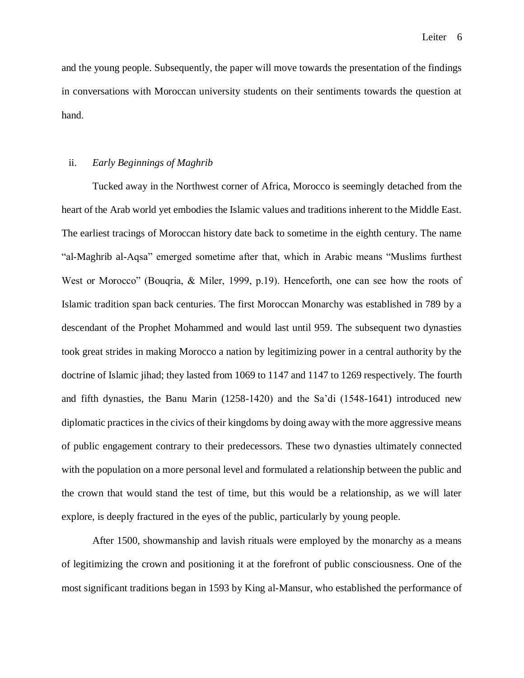and the young people. Subsequently, the paper will move towards the presentation of the findings in conversations with Moroccan university students on their sentiments towards the question at hand.

#### ii. *Early Beginnings of Maghrib*

Tucked away in the Northwest corner of Africa, Morocco is seemingly detached from the heart of the Arab world yet embodies the Islamic values and traditions inherent to the Middle East. The earliest tracings of Moroccan history date back to sometime in the eighth century. The name "al-Maghrib al-Aqsa" emerged sometime after that, which in Arabic means "Muslims furthest West or Morocco" (Bouqria, & Miler, 1999, p.19). Henceforth, one can see how the roots of Islamic tradition span back centuries. The first Moroccan Monarchy was established in 789 by a descendant of the Prophet Mohammed and would last until 959. The subsequent two dynasties took great strides in making Morocco a nation by legitimizing power in a central authority by the doctrine of Islamic jihad; they lasted from 1069 to 1147 and 1147 to 1269 respectively. The fourth and fifth dynasties, the Banu Marin (1258-1420) and the Sa'di (1548-1641) introduced new diplomatic practices in the civics of their kingdoms by doing away with the more aggressive means of public engagement contrary to their predecessors. These two dynasties ultimately connected with the population on a more personal level and formulated a relationship between the public and the crown that would stand the test of time, but this would be a relationship, as we will later explore, is deeply fractured in the eyes of the public, particularly by young people.

After 1500, showmanship and lavish rituals were employed by the monarchy as a means of legitimizing the crown and positioning it at the forefront of public consciousness. One of the most significant traditions began in 1593 by King al-Mansur, who established the performance of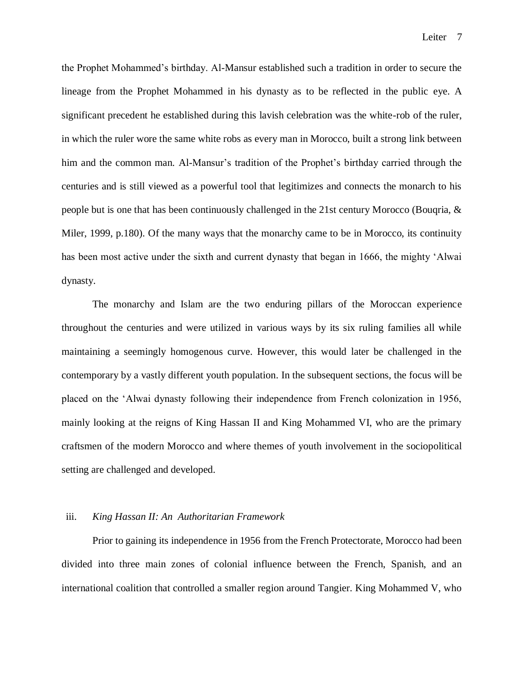the Prophet Mohammed's birthday. Al-Mansur established such a tradition in order to secure the lineage from the Prophet Mohammed in his dynasty as to be reflected in the public eye. A significant precedent he established during this lavish celebration was the white-rob of the ruler, in which the ruler wore the same white robs as every man in Morocco, built a strong link between him and the common man. Al-Mansur's tradition of the Prophet's birthday carried through the centuries and is still viewed as a powerful tool that legitimizes and connects the monarch to his people but is one that has been continuously challenged in the 21st century Morocco (Bouqria, & Miler, 1999, p.180). Of the many ways that the monarchy came to be in Morocco, its continuity has been most active under the sixth and current dynasty that began in 1666, the mighty 'Alwai dynasty.

The monarchy and Islam are the two enduring pillars of the Moroccan experience throughout the centuries and were utilized in various ways by its six ruling families all while maintaining a seemingly homogenous curve. However, this would later be challenged in the contemporary by a vastly different youth population. In the subsequent sections, the focus will be placed on the 'Alwai dynasty following their independence from French colonization in 1956, mainly looking at the reigns of King Hassan II and King Mohammed VI, who are the primary craftsmen of the modern Morocco and where themes of youth involvement in the sociopolitical setting are challenged and developed.

#### iii. *King Hassan II: An Authoritarian Framework*

Prior to gaining its independence in 1956 from the French Protectorate, Morocco had been divided into three main zones of colonial influence between the French, Spanish, and an international coalition that controlled a smaller region around Tangier. King Mohammed V, who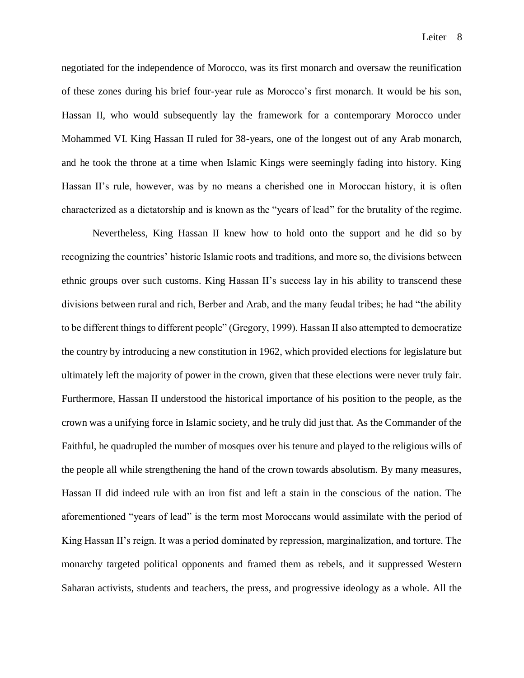negotiated for the independence of Morocco, was its first monarch and oversaw the reunification of these zones during his brief four-year rule as Morocco's first monarch. It would be his son, Hassan II, who would subsequently lay the framework for a contemporary Morocco under Mohammed VI. King Hassan II ruled for 38-years, one of the longest out of any Arab monarch, and he took the throne at a time when Islamic Kings were seemingly fading into history. King Hassan II's rule, however, was by no means a cherished one in Moroccan history, it is often characterized as a dictatorship and is known as the "years of lead" for the brutality of the regime.

Nevertheless, King Hassan II knew how to hold onto the support and he did so by recognizing the countries' historic Islamic roots and traditions, and more so, the divisions between ethnic groups over such customs. King Hassan II's success lay in his ability to transcend these divisions between rural and rich, Berber and Arab, and the many feudal tribes; he had "the ability to be different things to different people" (Gregory, 1999). Hassan II also attempted to democratize the country by introducing a new constitution in 1962, which provided elections for legislature but ultimately left the majority of power in the crown, given that these elections were never truly fair. Furthermore, Hassan II understood the historical importance of his position to the people, as the crown was a unifying force in Islamic society, and he truly did just that. As the Commander of the Faithful, he quadrupled the number of mosques over his tenure and played to the religious wills of the people all while strengthening the hand of the crown towards absolutism. By many measures, Hassan II did indeed rule with an iron fist and left a stain in the conscious of the nation. The aforementioned "years of lead" is the term most Moroccans would assimilate with the period of King Hassan II's reign. It was a period dominated by repression, marginalization, and torture. The monarchy targeted political opponents and framed them as rebels, and it suppressed Western Saharan activists, students and teachers, the press, and progressive ideology as a whole. All the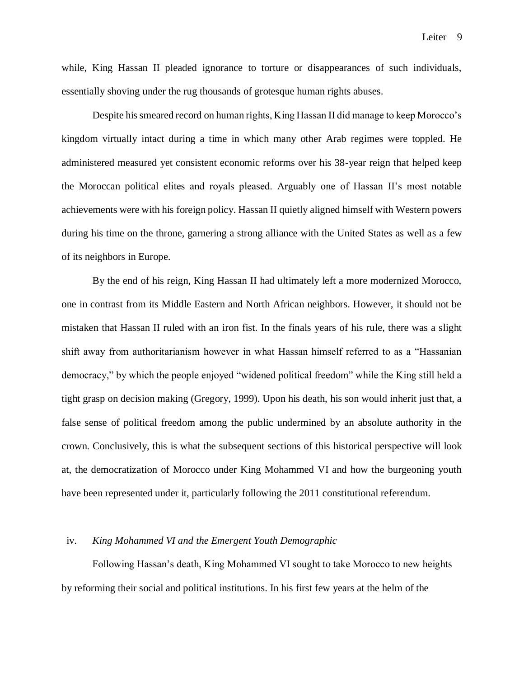while, King Hassan II pleaded ignorance to torture or disappearances of such individuals, essentially shoving under the rug thousands of grotesque human rights abuses.

Despite his smeared record on human rights, King Hassan II did manage to keep Morocco's kingdom virtually intact during a time in which many other Arab regimes were toppled. He administered measured yet consistent economic reforms over his 38-year reign that helped keep the Moroccan political elites and royals pleased. Arguably one of Hassan II's most notable achievements were with his foreign policy. Hassan II quietly aligned himself with Western powers during his time on the throne, garnering a strong alliance with the United States as well as a few of its neighbors in Europe.

By the end of his reign, King Hassan II had ultimately left a more modernized Morocco, one in contrast from its Middle Eastern and North African neighbors. However, it should not be mistaken that Hassan II ruled with an iron fist. In the finals years of his rule, there was a slight shift away from authoritarianism however in what Hassan himself referred to as a "Hassanian democracy," by which the people enjoyed "widened political freedom" while the King still held a tight grasp on decision making (Gregory, 1999). Upon his death, his son would inherit just that, a false sense of political freedom among the public undermined by an absolute authority in the crown. Conclusively, this is what the subsequent sections of this historical perspective will look at, the democratization of Morocco under King Mohammed VI and how the burgeoning youth have been represented under it, particularly following the 2011 constitutional referendum.

#### iv. *King Mohammed VI and the Emergent Youth Demographic*

Following Hassan's death, King Mohammed VI sought to take Morocco to new heights by reforming their social and political institutions. In his first few years at the helm of the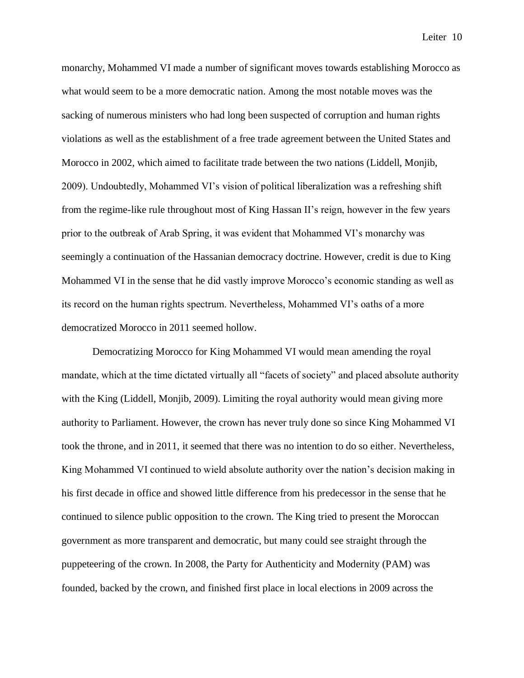monarchy, Mohammed VI made a number of significant moves towards establishing Morocco as what would seem to be a more democratic nation. Among the most notable moves was the sacking of numerous ministers who had long been suspected of corruption and human rights violations as well as the establishment of a free trade agreement between the United States and Morocco in 2002, which aimed to facilitate trade between the two nations (Liddell, Monjib, 2009). Undoubtedly, Mohammed VI's vision of political liberalization was a refreshing shift from the regime-like rule throughout most of King Hassan II's reign, however in the few years prior to the outbreak of Arab Spring, it was evident that Mohammed VI's monarchy was seemingly a continuation of the Hassanian democracy doctrine. However, credit is due to King Mohammed VI in the sense that he did vastly improve Morocco's economic standing as well as its record on the human rights spectrum. Nevertheless, Mohammed VI's oaths of a more democratized Morocco in 2011 seemed hollow.

Democratizing Morocco for King Mohammed VI would mean amending the royal mandate, which at the time dictated virtually all "facets of society" and placed absolute authority with the King (Liddell, Monjib, 2009). Limiting the royal authority would mean giving more authority to Parliament. However, the crown has never truly done so since King Mohammed VI took the throne, and in 2011, it seemed that there was no intention to do so either. Nevertheless, King Mohammed VI continued to wield absolute authority over the nation's decision making in his first decade in office and showed little difference from his predecessor in the sense that he continued to silence public opposition to the crown. The King tried to present the Moroccan government as more transparent and democratic, but many could see straight through the puppeteering of the crown. In 2008, the Party for Authenticity and Modernity (PAM) was founded, backed by the crown, and finished first place in local elections in 2009 across the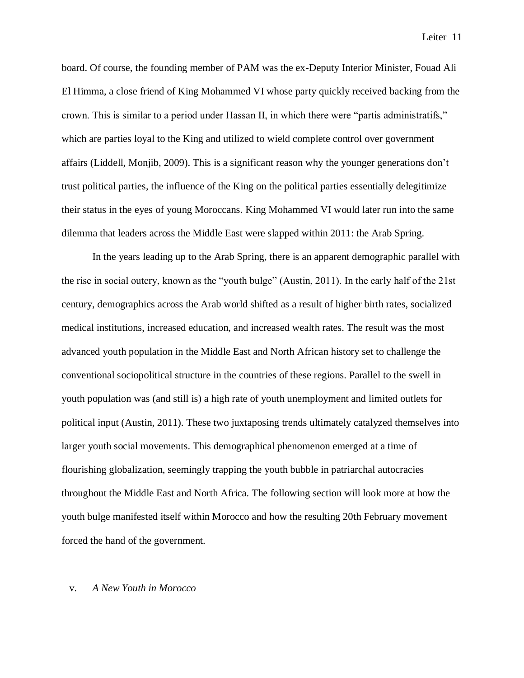board. Of course, the founding member of PAM was the ex-Deputy Interior Minister, Fouad Ali El Himma, a close friend of King Mohammed VI whose party quickly received backing from the crown. This is similar to a period under Hassan II, in which there were "partis administratifs," which are parties loyal to the King and utilized to wield complete control over government affairs (Liddell, Monjib, 2009). This is a significant reason why the younger generations don't trust political parties, the influence of the King on the political parties essentially delegitimize their status in the eyes of young Moroccans. King Mohammed VI would later run into the same dilemma that leaders across the Middle East were slapped within 2011: the Arab Spring.

In the years leading up to the Arab Spring, there is an apparent demographic parallel with the rise in social outcry, known as the "youth bulge" (Austin, 2011). In the early half of the 21st century, demographics across the Arab world shifted as a result of higher birth rates, socialized medical institutions, increased education, and increased wealth rates. The result was the most advanced youth population in the Middle East and North African history set to challenge the conventional sociopolitical structure in the countries of these regions. Parallel to the swell in youth population was (and still is) a high rate of youth unemployment and limited outlets for political input (Austin, 2011). These two juxtaposing trends ultimately catalyzed themselves into larger youth social movements. This demographical phenomenon emerged at a time of flourishing globalization, seemingly trapping the youth bubble in patriarchal autocracies throughout the Middle East and North Africa. The following section will look more at how the youth bulge manifested itself within Morocco and how the resulting 20th February movement forced the hand of the government.

## v. *A New Youth in Morocco*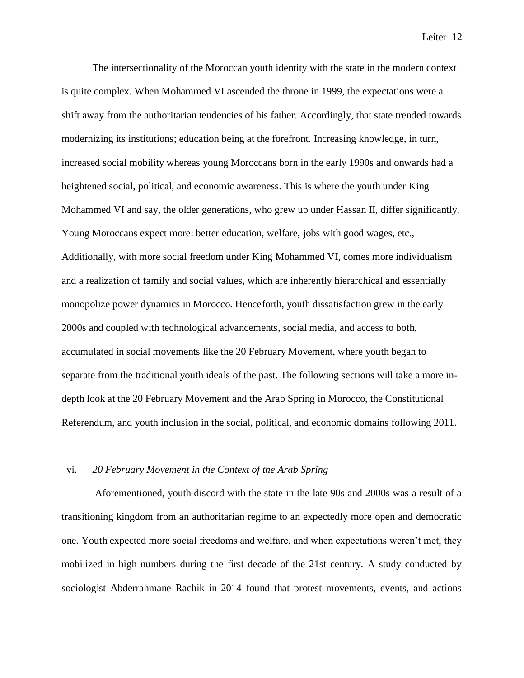The intersectionality of the Moroccan youth identity with the state in the modern context is quite complex. When Mohammed VI ascended the throne in 1999, the expectations were a shift away from the authoritarian tendencies of his father. Accordingly, that state trended towards modernizing its institutions; education being at the forefront. Increasing knowledge, in turn, increased social mobility whereas young Moroccans born in the early 1990s and onwards had a heightened social, political, and economic awareness. This is where the youth under King Mohammed VI and say, the older generations, who grew up under Hassan II, differ significantly. Young Moroccans expect more: better education, welfare, jobs with good wages, etc., Additionally, with more social freedom under King Mohammed VI, comes more individualism and a realization of family and social values, which are inherently hierarchical and essentially monopolize power dynamics in Morocco. Henceforth, youth dissatisfaction grew in the early 2000s and coupled with technological advancements, social media, and access to both, accumulated in social movements like the 20 February Movement, where youth began to separate from the traditional youth ideals of the past. The following sections will take a more indepth look at the 20 February Movement and the Arab Spring in Morocco, the Constitutional Referendum, and youth inclusion in the social, political, and economic domains following 2011.

# vi. *20 February Movement in the Context of the Arab Spring*

Aforementioned, youth discord with the state in the late 90s and 2000s was a result of a transitioning kingdom from an authoritarian regime to an expectedly more open and democratic one. Youth expected more social freedoms and welfare, and when expectations weren't met, they mobilized in high numbers during the first decade of the 21st century. A study conducted by sociologist Abderrahmane Rachik in 2014 found that protest movements, events, and actions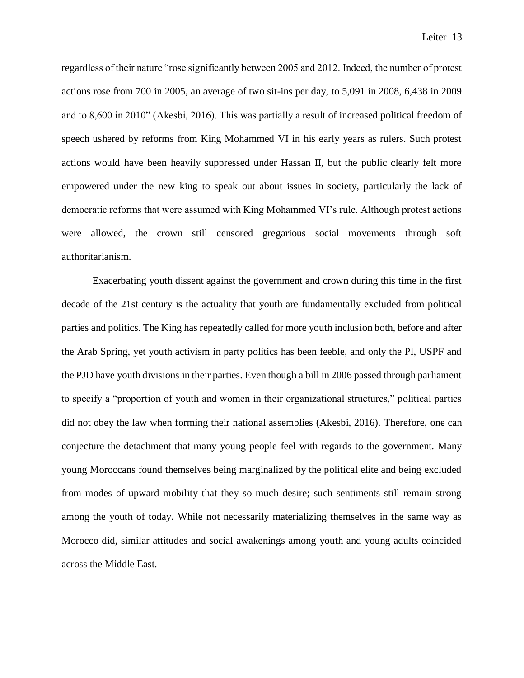regardless of their nature "rose significantly between 2005 and 2012. Indeed, the number of protest actions rose from 700 in 2005, an average of two sit-ins per day, to 5,091 in 2008, 6,438 in 2009 and to 8,600 in 2010" (Akesbi, 2016). This was partially a result of increased political freedom of speech ushered by reforms from King Mohammed VI in his early years as rulers. Such protest actions would have been heavily suppressed under Hassan II, but the public clearly felt more empowered under the new king to speak out about issues in society, particularly the lack of democratic reforms that were assumed with King Mohammed VI's rule. Although protest actions were allowed, the crown still censored gregarious social movements through soft authoritarianism.

Exacerbating youth dissent against the government and crown during this time in the first decade of the 21st century is the actuality that youth are fundamentally excluded from political parties and politics. The King has repeatedly called for more youth inclusion both, before and after the Arab Spring, yet youth activism in party politics has been feeble, and only the PI, USPF and the PJD have youth divisions in their parties. Even though a bill in 2006 passed through parliament to specify a "proportion of youth and women in their organizational structures," political parties did not obey the law when forming their national assemblies (Akesbi, 2016). Therefore, one can conjecture the detachment that many young people feel with regards to the government. Many young Moroccans found themselves being marginalized by the political elite and being excluded from modes of upward mobility that they so much desire; such sentiments still remain strong among the youth of today. While not necessarily materializing themselves in the same way as Morocco did, similar attitudes and social awakenings among youth and young adults coincided across the Middle East.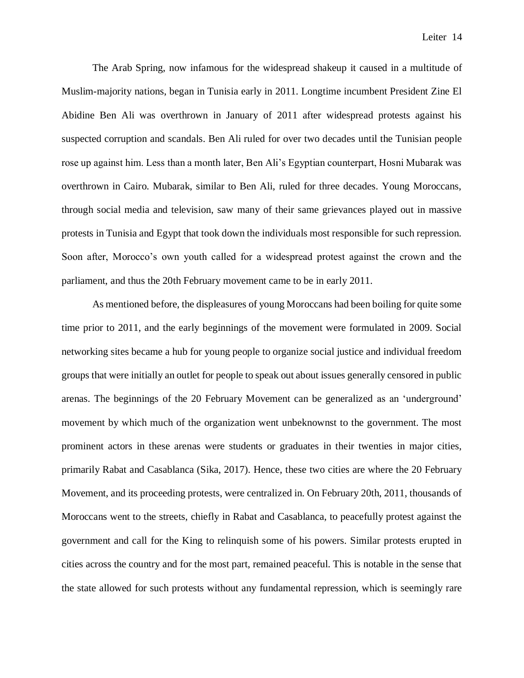The Arab Spring, now infamous for the widespread shakeup it caused in a multitude of Muslim-majority nations, began in Tunisia early in 2011. Longtime incumbent President Zine El Abidine Ben Ali was overthrown in January of 2011 after widespread protests against his suspected corruption and scandals. Ben Ali ruled for over two decades until the Tunisian people rose up against him. Less than a month later, Ben Ali's Egyptian counterpart, Hosni Mubarak was overthrown in Cairo. Mubarak, similar to Ben Ali, ruled for three decades. Young Moroccans, through social media and television, saw many of their same grievances played out in massive protests in Tunisia and Egypt that took down the individuals most responsible for such repression. Soon after, Morocco's own youth called for a widespread protest against the crown and the parliament, and thus the 20th February movement came to be in early 2011.

As mentioned before, the displeasures of young Moroccans had been boiling for quite some time prior to 2011, and the early beginnings of the movement were formulated in 2009. Social networking sites became a hub for young people to organize social justice and individual freedom groups that were initially an outlet for people to speak out about issues generally censored in public arenas. The beginnings of the 20 February Movement can be generalized as an 'underground' movement by which much of the organization went unbeknownst to the government. The most prominent actors in these arenas were students or graduates in their twenties in major cities, primarily Rabat and Casablanca (Sika, 2017). Hence, these two cities are where the 20 February Movement, and its proceeding protests, were centralized in. On February 20th, 2011, thousands of Moroccans went to the streets, chiefly in Rabat and Casablanca, to peacefully protest against the government and call for the King to relinquish some of his powers. Similar protests erupted in cities across the country and for the most part, remained peaceful. This is notable in the sense that the state allowed for such protests without any fundamental repression, which is seemingly rare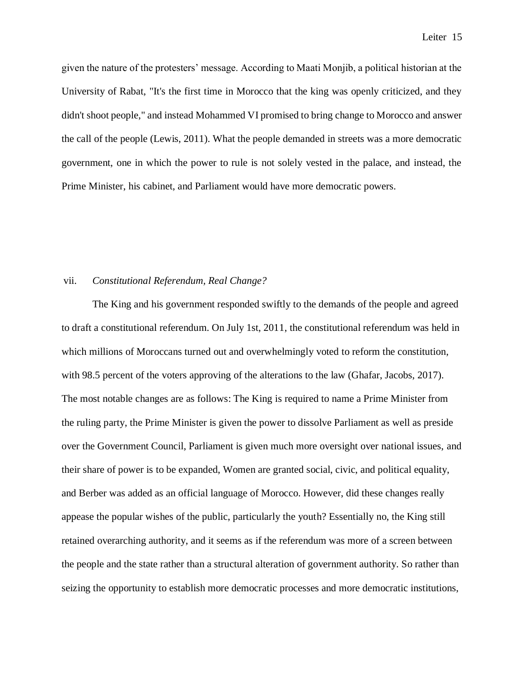given the nature of the protesters' message. According to Maati Monjib, a political historian at the University of Rabat, "It's the first time in Morocco that the king was openly criticized, and they didn't shoot people," and instead Mohammed VI promised to bring change to Morocco and answer the call of the people (Lewis, 2011). What the people demanded in streets was a more democratic government, one in which the power to rule is not solely vested in the palace, and instead, the Prime Minister, his cabinet, and Parliament would have more democratic powers.

## vii. *Constitutional Referendum, Real Change?*

The King and his government responded swiftly to the demands of the people and agreed to draft a constitutional referendum. On July 1st, 2011, the constitutional referendum was held in which millions of Moroccans turned out and overwhelmingly voted to reform the constitution, with 98.5 percent of the voters approving of the alterations to the law (Ghafar, Jacobs, 2017). The most notable changes are as follows: The King is required to name a Prime Minister from the ruling party, the Prime Minister is given the power to dissolve Parliament as well as preside over the Government Council, Parliament is given much more oversight over national issues, and their share of power is to be expanded, Women are granted social, civic, and political equality, and Berber was added as an official language of Morocco. However, did these changes really appease the popular wishes of the public, particularly the youth? Essentially no, the King still retained overarching authority, and it seems as if the referendum was more of a screen between the people and the state rather than a structural alteration of government authority. So rather than seizing the opportunity to establish more democratic processes and more democratic institutions,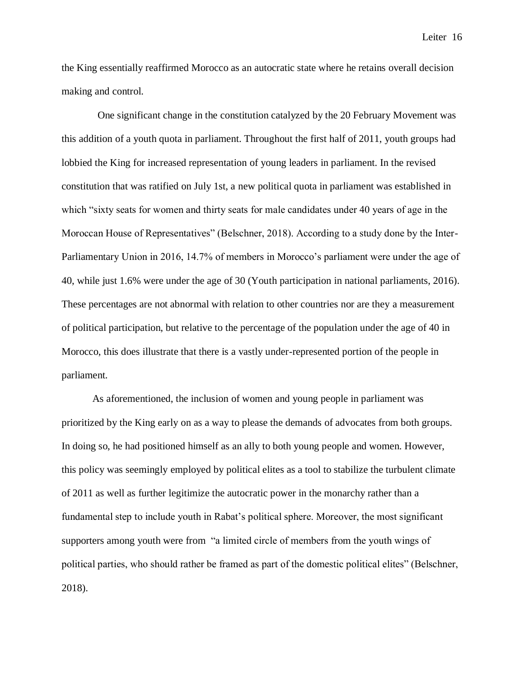the King essentially reaffirmed Morocco as an autocratic state where he retains overall decision making and control.

 One significant change in the constitution catalyzed by the 20 February Movement was this addition of a youth quota in parliament. Throughout the first half of 2011, youth groups had lobbied the King for increased representation of young leaders in parliament. In the revised constitution that was ratified on July 1st, a new political quota in parliament was established in which "sixty seats for women and thirty seats for male candidates under 40 years of age in the Moroccan House of Representatives" (Belschner, 2018). According to a study done by the Inter-Parliamentary Union in 2016, 14.7% of members in Morocco's parliament were under the age of 40, while just 1.6% were under the age of 30 (Youth participation in national parliaments, 2016). These percentages are not abnormal with relation to other countries nor are they a measurement of political participation, but relative to the percentage of the population under the age of 40 in Morocco, this does illustrate that there is a vastly under-represented portion of the people in parliament.

As aforementioned, the inclusion of women and young people in parliament was prioritized by the King early on as a way to please the demands of advocates from both groups. In doing so, he had positioned himself as an ally to both young people and women. However, this policy was seemingly employed by political elites as a tool to stabilize the turbulent climate of 2011 as well as further legitimize the autocratic power in the monarchy rather than a fundamental step to include youth in Rabat's political sphere. Moreover, the most significant supporters among youth were from "a limited circle of members from the youth wings of political parties, who should rather be framed as part of the domestic political elites" (Belschner, 2018).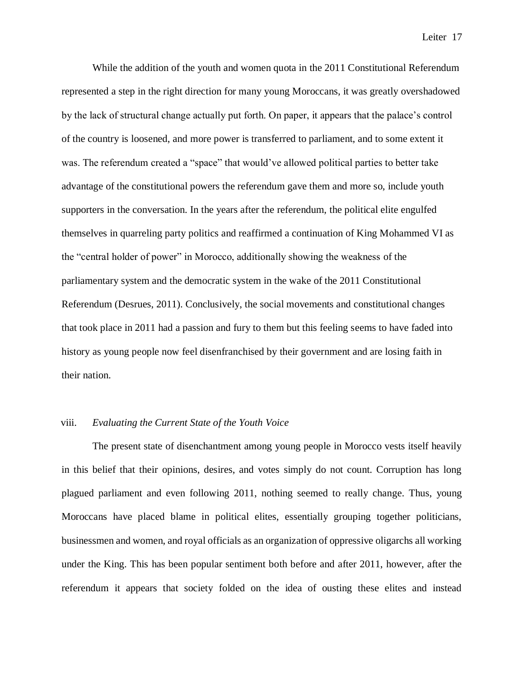While the addition of the youth and women quota in the 2011 Constitutional Referendum represented a step in the right direction for many young Moroccans, it was greatly overshadowed by the lack of structural change actually put forth. On paper, it appears that the palace's control of the country is loosened, and more power is transferred to parliament, and to some extent it was. The referendum created a "space" that would've allowed political parties to better take advantage of the constitutional powers the referendum gave them and more so, include youth supporters in the conversation. In the years after the referendum, the political elite engulfed themselves in quarreling party politics and reaffirmed a continuation of King Mohammed VI as the "central holder of power" in Morocco, additionally showing the weakness of the parliamentary system and the democratic system in the wake of the 2011 Constitutional Referendum (Desrues, 2011). Conclusively, the social movements and constitutional changes that took place in 2011 had a passion and fury to them but this feeling seems to have faded into history as young people now feel disenfranchised by their government and are losing faith in their nation.

#### viii. *Evaluating the Current State of the Youth Voice*

The present state of disenchantment among young people in Morocco vests itself heavily in this belief that their opinions, desires, and votes simply do not count. Corruption has long plagued parliament and even following 2011, nothing seemed to really change. Thus, young Moroccans have placed blame in political elites, essentially grouping together politicians, businessmen and women, and royal officials as an organization of oppressive oligarchs all working under the King. This has been popular sentiment both before and after 2011, however, after the referendum it appears that society folded on the idea of ousting these elites and instead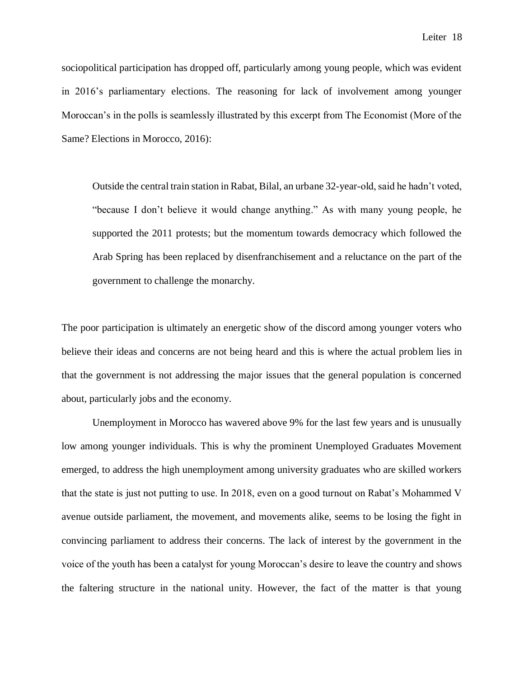sociopolitical participation has dropped off, particularly among young people, which was evident in 2016's parliamentary elections. The reasoning for lack of involvement among younger Moroccan's in the polls is seamlessly illustrated by this excerpt from The Economist (More of the Same? Elections in Morocco, 2016):

Outside the central train station in Rabat, Bilal, an urbane 32-year-old, said he hadn't voted, "because I don't believe it would change anything." As with many young people, he supported the 2011 protests; but the momentum towards democracy which followed the Arab Spring has been replaced by disenfranchisement and a reluctance on the part of the government to challenge the monarchy.

The poor participation is ultimately an energetic show of the discord among younger voters who believe their ideas and concerns are not being heard and this is where the actual problem lies in that the government is not addressing the major issues that the general population is concerned about, particularly jobs and the economy.

Unemployment in Morocco has wavered above 9% for the last few years and is unusually low among younger individuals. This is why the prominent Unemployed Graduates Movement emerged, to address the high unemployment among university graduates who are skilled workers that the state is just not putting to use. In 2018, even on a good turnout on Rabat's Mohammed V avenue outside parliament, the movement, and movements alike, seems to be losing the fight in convincing parliament to address their concerns. The lack of interest by the government in the voice of the youth has been a catalyst for young Moroccan's desire to leave the country and shows the faltering structure in the national unity. However, the fact of the matter is that young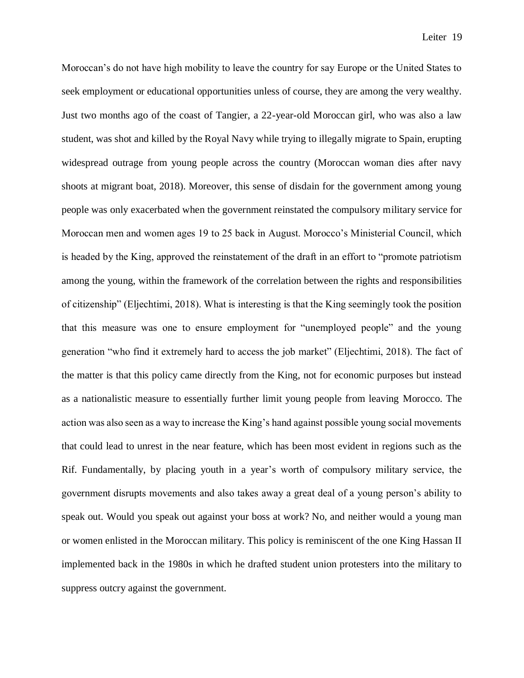Moroccan's do not have high mobility to leave the country for say Europe or the United States to seek employment or educational opportunities unless of course, they are among the very wealthy. Just two months ago of the coast of Tangier, a 22-year-old Moroccan girl, who was also a law student, was shot and killed by the Royal Navy while trying to illegally migrate to Spain, erupting widespread outrage from young people across the country (Moroccan woman dies after navy shoots at migrant boat, 2018). Moreover, this sense of disdain for the government among young people was only exacerbated when the government reinstated the compulsory military service for Moroccan men and women ages 19 to 25 back in August. Morocco's Ministerial Council, which is headed by the King, approved the reinstatement of the draft in an effort to "promote patriotism among the young, within the framework of the correlation between the rights and responsibilities of citizenship" (Eljechtimi, 2018). What is interesting is that the King seemingly took the position that this measure was one to ensure employment for "unemployed people" and the young generation "who find it extremely hard to access the job market" (Eljechtimi, 2018). The fact of the matter is that this policy came directly from the King, not for economic purposes but instead as a nationalistic measure to essentially further limit young people from leaving Morocco. The action was also seen as a way to increase the King's hand against possible young social movements that could lead to unrest in the near feature, which has been most evident in regions such as the Rif. Fundamentally, by placing youth in a year's worth of compulsory military service, the government disrupts movements and also takes away a great deal of a young person's ability to speak out. Would you speak out against your boss at work? No, and neither would a young man or women enlisted in the Moroccan military. This policy is reminiscent of the one King Hassan II implemented back in the 1980s in which he drafted student union protesters into the military to suppress outcry against the government.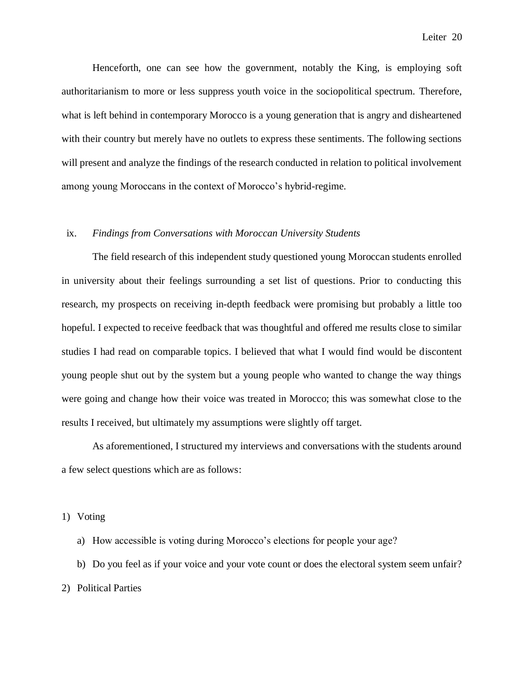Henceforth, one can see how the government, notably the King, is employing soft authoritarianism to more or less suppress youth voice in the sociopolitical spectrum. Therefore, what is left behind in contemporary Morocco is a young generation that is angry and disheartened with their country but merely have no outlets to express these sentiments. The following sections will present and analyze the findings of the research conducted in relation to political involvement among young Moroccans in the context of Morocco's hybrid-regime.

# ix. *Findings from Conversations with Moroccan University Students*

The field research of this independent study questioned young Moroccan students enrolled in university about their feelings surrounding a set list of questions. Prior to conducting this research, my prospects on receiving in-depth feedback were promising but probably a little too hopeful. I expected to receive feedback that was thoughtful and offered me results close to similar studies I had read on comparable topics. I believed that what I would find would be discontent young people shut out by the system but a young people who wanted to change the way things were going and change how their voice was treated in Morocco; this was somewhat close to the results I received, but ultimately my assumptions were slightly off target.

As aforementioned, I structured my interviews and conversations with the students around a few select questions which are as follows:

1) Voting

a) How accessible is voting during Morocco's elections for people your age?

b) Do you feel as if your voice and your vote count or does the electoral system seem unfair? 2) Political Parties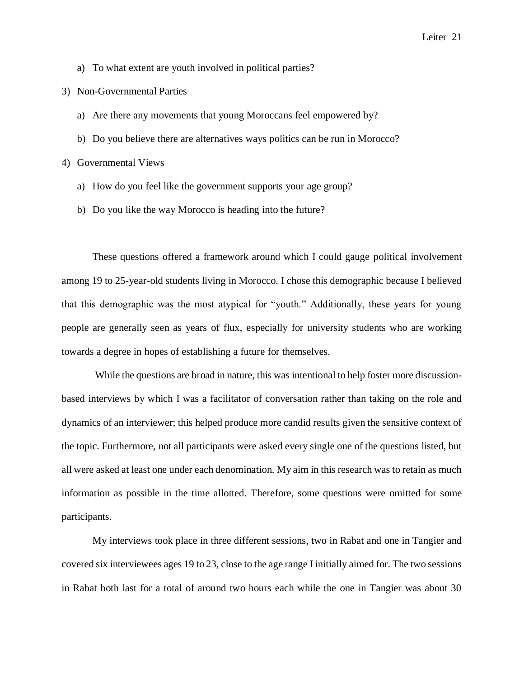- a) To what extent are youth involved in political parties?
- 3) Non-Governmental Parties
	- a) Are there any movements that young Moroccans feel empowered by?
	- b) Do you believe there are alternatives ways politics can be run in Morocco?

4) Governmental Views

- a) How do you feel like the government supports your age group?
- b) Do you like the way Morocco is heading into the future?

These questions offered a framework around which I could gauge political involvement among 19 to 25-year-old students living in Morocco. I chose this demographic because I believed that this demographic was the most atypical for "youth." Additionally, these years for young people are generally seen as years of flux, especially for university students who are working towards a degree in hopes of establishing a future for themselves.

While the questions are broad in nature, this was intentional to help foster more discussionbased interviews by which I was a facilitator of conversation rather than taking on the role and dynamics of an interviewer; this helped produce more candid results given the sensitive context of the topic. Furthermore, not all participants were asked every single one of the questions listed, but all were asked at least one under each denomination. My aim in this research was to retain as much information as possible in the time allotted. Therefore, some questions were omitted for some participants.

My interviews took place in three different sessions, two in Rabat and one in Tangier and covered six interviewees ages 19 to 23, close to the age range I initially aimed for. The two sessions in Rabat both last for a total of around two hours each while the one in Tangier was about 30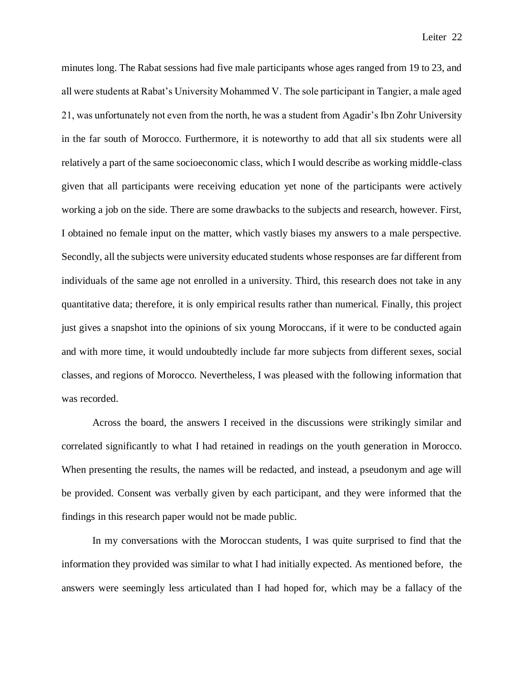minutes long. The Rabat sessions had five male participants whose ages ranged from 19 to 23, and all were students at Rabat's University Mohammed V. The sole participant in Tangier, a male aged 21, was unfortunately not even from the north, he was a student from Agadir's Ibn Zohr University in the far south of Morocco. Furthermore, it is noteworthy to add that all six students were all relatively a part of the same socioeconomic class, which I would describe as working middle-class given that all participants were receiving education yet none of the participants were actively working a job on the side. There are some drawbacks to the subjects and research, however. First, I obtained no female input on the matter, which vastly biases my answers to a male perspective. Secondly, all the subjects were university educated students whose responses are far different from individuals of the same age not enrolled in a university. Third, this research does not take in any quantitative data; therefore, it is only empirical results rather than numerical. Finally, this project just gives a snapshot into the opinions of six young Moroccans, if it were to be conducted again and with more time, it would undoubtedly include far more subjects from different sexes, social classes, and regions of Morocco. Nevertheless, I was pleased with the following information that was recorded.

Across the board, the answers I received in the discussions were strikingly similar and correlated significantly to what I had retained in readings on the youth generation in Morocco. When presenting the results, the names will be redacted, and instead, a pseudonym and age will be provided. Consent was verbally given by each participant, and they were informed that the findings in this research paper would not be made public.

In my conversations with the Moroccan students, I was quite surprised to find that the information they provided was similar to what I had initially expected. As mentioned before, the answers were seemingly less articulated than I had hoped for, which may be a fallacy of the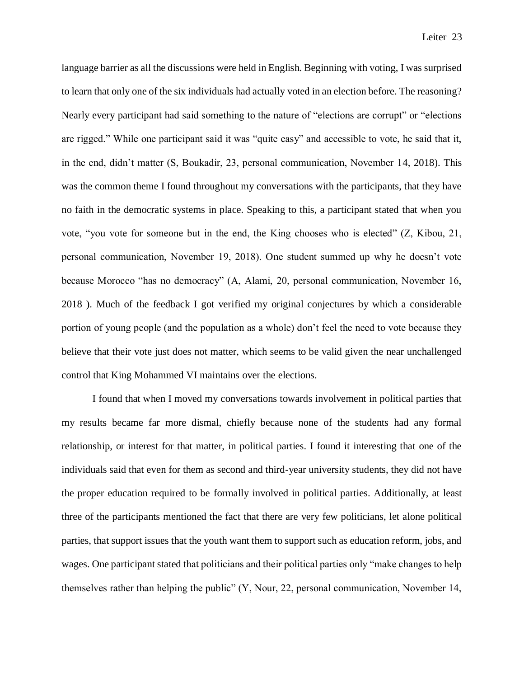language barrier as all the discussions were held in English. Beginning with voting, I was surprised to learn that only one of the six individuals had actually voted in an election before. The reasoning? Nearly every participant had said something to the nature of "elections are corrupt" or "elections are rigged." While one participant said it was "quite easy" and accessible to vote, he said that it, in the end, didn't matter (S, Boukadir, 23, personal communication, November 14, 2018). This was the common theme I found throughout my conversations with the participants, that they have no faith in the democratic systems in place. Speaking to this, a participant stated that when you vote, "you vote for someone but in the end, the King chooses who is elected" (Z, Kibou, 21, personal communication, November 19, 2018). One student summed up why he doesn't vote because Morocco "has no democracy" (A, Alami, 20, personal communication, November 16, 2018 ). Much of the feedback I got verified my original conjectures by which a considerable portion of young people (and the population as a whole) don't feel the need to vote because they believe that their vote just does not matter, which seems to be valid given the near unchallenged control that King Mohammed VI maintains over the elections.

I found that when I moved my conversations towards involvement in political parties that my results became far more dismal, chiefly because none of the students had any formal relationship, or interest for that matter, in political parties. I found it interesting that one of the individuals said that even for them as second and third-year university students, they did not have the proper education required to be formally involved in political parties. Additionally, at least three of the participants mentioned the fact that there are very few politicians, let alone political parties, that support issues that the youth want them to support such as education reform, jobs, and wages. One participant stated that politicians and their political parties only "make changes to help themselves rather than helping the public" (Y, Nour, 22, personal communication, November 14,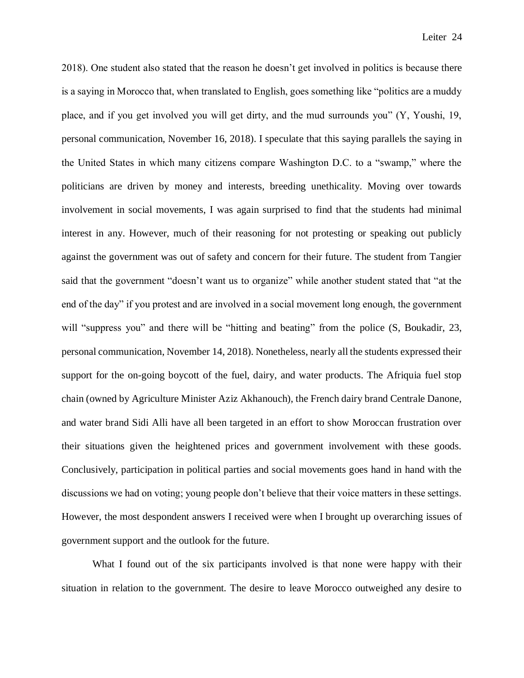2018). One student also stated that the reason he doesn't get involved in politics is because there is a saying in Morocco that, when translated to English, goes something like "politics are a muddy place, and if you get involved you will get dirty, and the mud surrounds you" (Y, Youshi, 19, personal communication, November 16, 2018). I speculate that this saying parallels the saying in the United States in which many citizens compare Washington D.C. to a "swamp," where the politicians are driven by money and interests, breeding unethicality. Moving over towards involvement in social movements, I was again surprised to find that the students had minimal interest in any. However, much of their reasoning for not protesting or speaking out publicly against the government was out of safety and concern for their future. The student from Tangier said that the government "doesn't want us to organize" while another student stated that "at the end of the day" if you protest and are involved in a social movement long enough, the government will "suppress you" and there will be "hitting and beating" from the police (S, Boukadir, 23, personal communication, November 14, 2018). Nonetheless, nearly all the students expressed their support for the on-going boycott of the fuel, dairy, and water products. The Afriquia fuel stop chain (owned by Agriculture Minister Aziz Akhanouch), the French dairy brand Centrale Danone, and water brand Sidi Alli have all been targeted in an effort to show Moroccan frustration over their situations given the heightened prices and government involvement with these goods. Conclusively, participation in political parties and social movements goes hand in hand with the discussions we had on voting; young people don't believe that their voice matters in these settings. However, the most despondent answers I received were when I brought up overarching issues of government support and the outlook for the future.

What I found out of the six participants involved is that none were happy with their situation in relation to the government. The desire to leave Morocco outweighed any desire to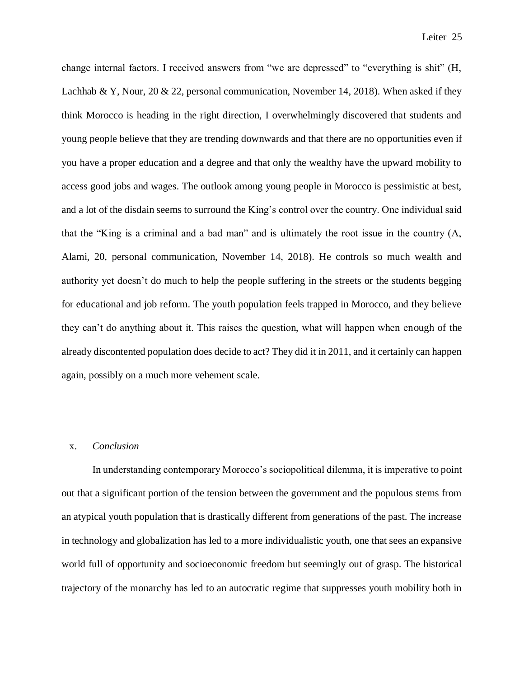change internal factors. I received answers from "we are depressed" to "everything is shit" (H, Lachhab & Y, Nour, 20 & 22, personal communication, November 14, 2018). When asked if they think Morocco is heading in the right direction, I overwhelmingly discovered that students and young people believe that they are trending downwards and that there are no opportunities even if you have a proper education and a degree and that only the wealthy have the upward mobility to access good jobs and wages. The outlook among young people in Morocco is pessimistic at best, and a lot of the disdain seems to surround the King's control over the country. One individual said that the "King is a criminal and a bad man" and is ultimately the root issue in the country (A, Alami, 20, personal communication, November 14, 2018). He controls so much wealth and authority yet doesn't do much to help the people suffering in the streets or the students begging for educational and job reform. The youth population feels trapped in Morocco, and they believe they can't do anything about it. This raises the question, what will happen when enough of the already discontented population does decide to act? They did it in 2011, and it certainly can happen again, possibly on a much more vehement scale.

# x. *Conclusion*

In understanding contemporary Morocco's sociopolitical dilemma, it is imperative to point out that a significant portion of the tension between the government and the populous stems from an atypical youth population that is drastically different from generations of the past. The increase in technology and globalization has led to a more individualistic youth, one that sees an expansive world full of opportunity and socioeconomic freedom but seemingly out of grasp. The historical trajectory of the monarchy has led to an autocratic regime that suppresses youth mobility both in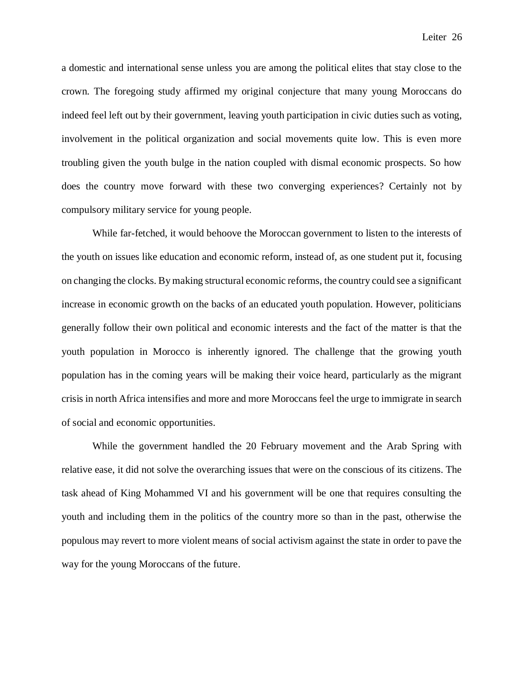a domestic and international sense unless you are among the political elites that stay close to the crown. The foregoing study affirmed my original conjecture that many young Moroccans do indeed feel left out by their government, leaving youth participation in civic duties such as voting, involvement in the political organization and social movements quite low. This is even more troubling given the youth bulge in the nation coupled with dismal economic prospects. So how does the country move forward with these two converging experiences? Certainly not by compulsory military service for young people.

While far-fetched, it would behoove the Moroccan government to listen to the interests of the youth on issues like education and economic reform, instead of, as one student put it, focusing on changing the clocks. By making structural economic reforms, the country could see a significant increase in economic growth on the backs of an educated youth population. However, politicians generally follow their own political and economic interests and the fact of the matter is that the youth population in Morocco is inherently ignored. The challenge that the growing youth population has in the coming years will be making their voice heard, particularly as the migrant crisis in north Africa intensifies and more and more Moroccans feel the urge to immigrate in search of social and economic opportunities.

While the government handled the 20 February movement and the Arab Spring with relative ease, it did not solve the overarching issues that were on the conscious of its citizens. The task ahead of King Mohammed VI and his government will be one that requires consulting the youth and including them in the politics of the country more so than in the past, otherwise the populous may revert to more violent means of social activism against the state in order to pave the way for the young Moroccans of the future.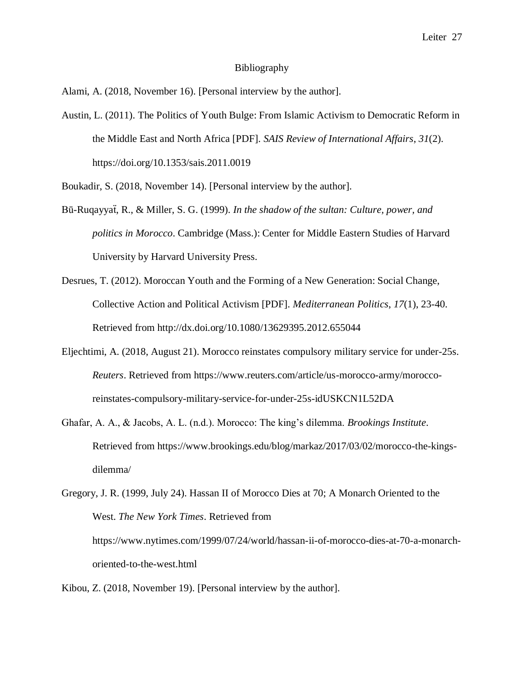#### Bibliography

Alami, A. (2018, November 16). [Personal interview by the author].

Austin, L. (2011). The Politics of Youth Bulge: From Islamic Activism to Democratic Reform in the Middle East and North Africa [PDF]. *SAIS Review of International Affairs*, *31*(2). https://doi.org/10.1353/sais.2011.0019

Boukadir, S. (2018, November 14). [Personal interview by the author].

- Bū-Ruqayyaẗ, R., & Miller, S. G. (1999). *In the shadow of the sultan: Culture, power, and politics in Morocco*. Cambridge (Mass.): Center for Middle Eastern Studies of Harvard University by Harvard University Press.
- Desrues, T. (2012). Moroccan Youth and the Forming of a New Generation: Social Change, Collective Action and Political Activism [PDF]. *Mediterranean Politics*, *17*(1), 23-40. Retrieved from http://dx.doi.org/10.1080/13629395.2012.655044
- Eljechtimi, A. (2018, August 21). Morocco reinstates compulsory military service for under-25s. *Reuters*. Retrieved from https://www.reuters.com/article/us-morocco-army/moroccoreinstates-compulsory-military-service-for-under-25s-idUSKCN1L52DA
- Ghafar, A. A., & Jacobs, A. L. (n.d.). Morocco: The king's dilemma. *Brookings Institute*. Retrieved from https://www.brookings.edu/blog/markaz/2017/03/02/morocco-the-kingsdilemma/

Kibou, Z. (2018, November 19). [Personal interview by the author].

Gregory, J. R. (1999, July 24). Hassan II of Morocco Dies at 70; A Monarch Oriented to the West. *The New York Times*. Retrieved from https://www.nytimes.com/1999/07/24/world/hassan-ii-of-morocco-dies-at-70-a-monarchoriented-to-the-west.html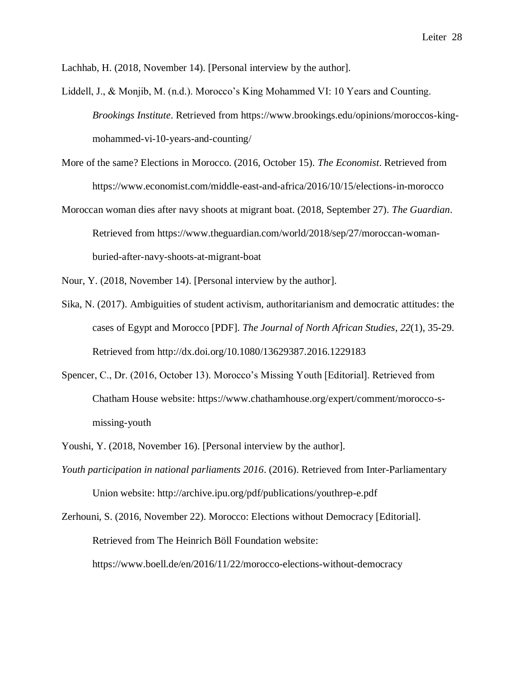Lachhab, H. (2018, November 14). [Personal interview by the author].

- Liddell, J., & Monjib, M. (n.d.). Morocco's King Mohammed VI: 10 Years and Counting. *Brookings Institute*. Retrieved from https://www.brookings.edu/opinions/moroccos-kingmohammed-vi-10-years-and-counting/
- More of the same? Elections in Morocco. (2016, October 15). *The Economist*. Retrieved from https://www.economist.com/middle-east-and-africa/2016/10/15/elections-in-morocco
- Moroccan woman dies after navy shoots at migrant boat. (2018, September 27). *The Guardian*. Retrieved from https://www.theguardian.com/world/2018/sep/27/moroccan-womanburied-after-navy-shoots-at-migrant-boat

Nour, Y. (2018, November 14). [Personal interview by the author].

- Sika, N. (2017). Ambiguities of student activism, authoritarianism and democratic attitudes: the cases of Egypt and Morocco [PDF]. *The Journal of North African Studies*, *22*(1), 35-29. Retrieved from http://dx.doi.org/10.1080/13629387.2016.1229183
- Spencer, C., Dr. (2016, October 13). Morocco's Missing Youth [Editorial]. Retrieved from Chatham House website: https://www.chathamhouse.org/expert/comment/morocco-smissing-youth
- Youshi, Y. (2018, November 16). [Personal interview by the author].
- *Youth participation in national parliaments 2016*. (2016). Retrieved from Inter-Parliamentary Union website: http://archive.ipu.org/pdf/publications/youthrep-e.pdf

Zerhouni, S. (2016, November 22). Morocco: Elections without Democracy [Editorial]. Retrieved from The Heinrich Böll Foundation website: https://www.boell.de/en/2016/11/22/morocco-elections-without-democracy